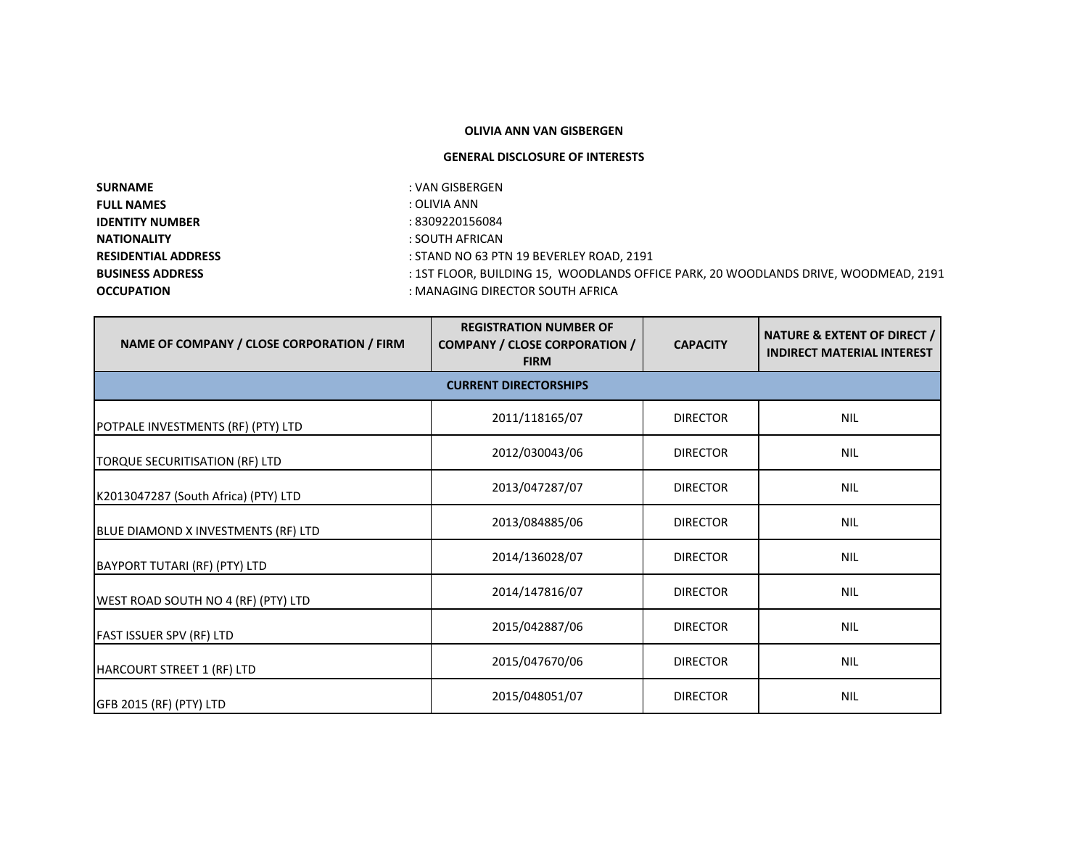## **OLIVIA ANN VAN GISBERGEN**

## **GENERAL DISCLOSURE OF INTERESTS**

| : VAN GISBERGEN                                                                     |
|-------------------------------------------------------------------------------------|
| : OLIVIA ANN                                                                        |
| : 8309220156084                                                                     |
| : SOUTH AFRICAN                                                                     |
| : STAND NO 63 PTN 19 BEVERLEY ROAD, 2191                                            |
| : 1ST FLOOR, BUILDING 15, WOODLANDS OFFICE PARK, 20 WOODLANDS DRIVE, WOODMEAD, 2191 |
| : MANAGING DIRECTOR SOUTH AFRICA                                                    |
|                                                                                     |

| NAME OF COMPANY / CLOSE CORPORATION / FIRM | <b>REGISTRATION NUMBER OF</b><br><b>COMPANY / CLOSE CORPORATION /</b><br><b>FIRM</b> | <b>CAPACITY</b> | <b>NATURE &amp; EXTENT OF DIRECT /</b><br><b>INDIRECT MATERIAL INTEREST</b> |  |
|--------------------------------------------|--------------------------------------------------------------------------------------|-----------------|-----------------------------------------------------------------------------|--|
|                                            | <b>CURRENT DIRECTORSHIPS</b>                                                         |                 |                                                                             |  |
| POTPALE INVESTMENTS (RF) (PTY) LTD         | 2011/118165/07                                                                       | <b>DIRECTOR</b> | <b>NIL</b>                                                                  |  |
| TORQUE SECURITISATION (RF) LTD             | 2012/030043/06                                                                       | <b>DIRECTOR</b> | <b>NIL</b>                                                                  |  |
| K2013047287 (South Africa) (PTY) LTD       | 2013/047287/07                                                                       | <b>DIRECTOR</b> | <b>NIL</b>                                                                  |  |
| BLUE DIAMOND X INVESTMENTS (RF) LTD        | 2013/084885/06                                                                       | <b>DIRECTOR</b> | <b>NIL</b>                                                                  |  |
| BAYPORT TUTARI (RF) (PTY) LTD              | 2014/136028/07                                                                       | <b>DIRECTOR</b> | <b>NIL</b>                                                                  |  |
| WEST ROAD SOUTH NO 4 (RF) (PTY) LTD        | 2014/147816/07                                                                       | <b>DIRECTOR</b> | <b>NIL</b>                                                                  |  |
| <b>FAST ISSUER SPV (RF) LTD</b>            | 2015/042887/06                                                                       | <b>DIRECTOR</b> | <b>NIL</b>                                                                  |  |
| HARCOURT STREET 1 (RF) LTD                 | 2015/047670/06                                                                       | <b>DIRECTOR</b> | <b>NIL</b>                                                                  |  |
| GFB 2015 (RF) (PTY) LTD                    | 2015/048051/07                                                                       | <b>DIRECTOR</b> | <b>NIL</b>                                                                  |  |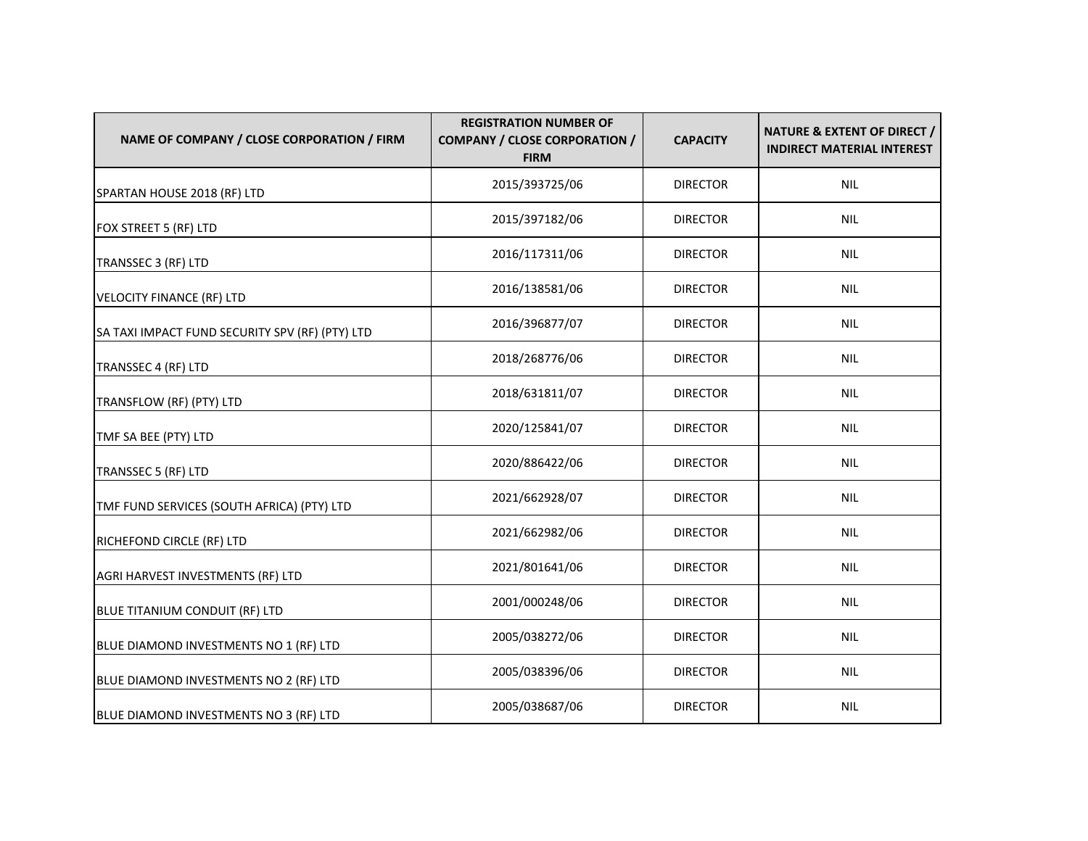| NAME OF COMPANY / CLOSE CORPORATION / FIRM      | <b>REGISTRATION NUMBER OF</b><br><b>COMPANY / CLOSE CORPORATION /</b><br><b>FIRM</b> | <b>CAPACITY</b> | NATURE & EXTENT OF DIRECT /<br><b>INDIRECT MATERIAL INTEREST</b> |
|-------------------------------------------------|--------------------------------------------------------------------------------------|-----------------|------------------------------------------------------------------|
| SPARTAN HOUSE 2018 (RF) LTD                     | 2015/393725/06                                                                       | <b>DIRECTOR</b> | <b>NIL</b>                                                       |
| FOX STREET 5 (RF) LTD                           | 2015/397182/06                                                                       | <b>DIRECTOR</b> | <b>NIL</b>                                                       |
| TRANSSEC 3 (RF) LTD                             | 2016/117311/06                                                                       | <b>DIRECTOR</b> | <b>NIL</b>                                                       |
| <b>VELOCITY FINANCE (RF) LTD</b>                | 2016/138581/06                                                                       | <b>DIRECTOR</b> | <b>NIL</b>                                                       |
| SA TAXI IMPACT FUND SECURITY SPV (RF) (PTY) LTD | 2016/396877/07                                                                       | <b>DIRECTOR</b> | <b>NIL</b>                                                       |
| TRANSSEC 4 (RF) LTD                             | 2018/268776/06                                                                       | <b>DIRECTOR</b> | <b>NIL</b>                                                       |
| TRANSFLOW (RF) (PTY) LTD                        | 2018/631811/07                                                                       | <b>DIRECTOR</b> | <b>NIL</b>                                                       |
| TMF SA BEE (PTY) LTD                            | 2020/125841/07                                                                       | <b>DIRECTOR</b> | <b>NIL</b>                                                       |
| TRANSSEC 5 (RF) LTD                             | 2020/886422/06                                                                       | <b>DIRECTOR</b> | <b>NIL</b>                                                       |
| TMF FUND SERVICES (SOUTH AFRICA) (PTY) LTD      | 2021/662928/07                                                                       | <b>DIRECTOR</b> | <b>NIL</b>                                                       |
| RICHEFOND CIRCLE (RF) LTD                       | 2021/662982/06                                                                       | <b>DIRECTOR</b> | <b>NIL</b>                                                       |
| AGRI HARVEST INVESTMENTS (RF) LTD               | 2021/801641/06                                                                       | <b>DIRECTOR</b> | <b>NIL</b>                                                       |
| BLUE TITANIUM CONDUIT (RF) LTD                  | 2001/000248/06                                                                       | <b>DIRECTOR</b> | <b>NIL</b>                                                       |
| BLUE DIAMOND INVESTMENTS NO 1 (RF) LTD          | 2005/038272/06                                                                       | <b>DIRECTOR</b> | <b>NIL</b>                                                       |
| BLUE DIAMOND INVESTMENTS NO 2 (RF) LTD          | 2005/038396/06                                                                       | <b>DIRECTOR</b> | <b>NIL</b>                                                       |
| BLUE DIAMOND INVESTMENTS NO 3 (RF) LTD          | 2005/038687/06                                                                       | <b>DIRECTOR</b> | <b>NIL</b>                                                       |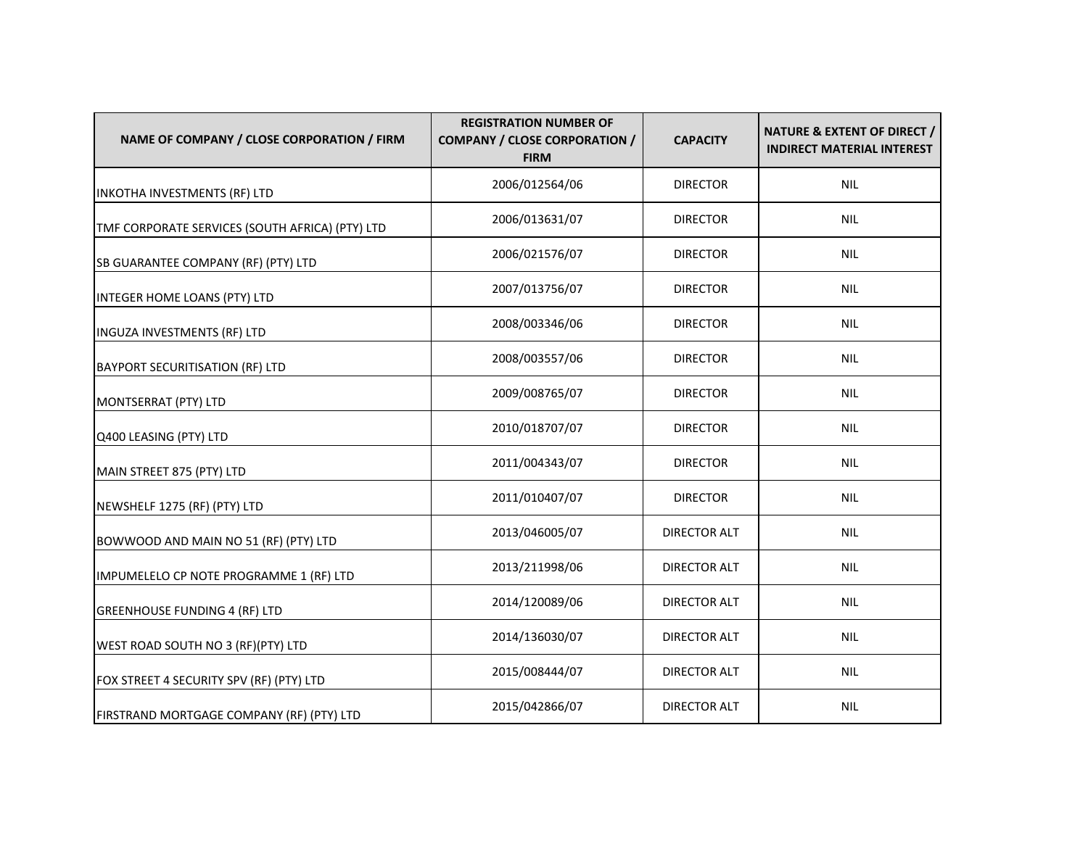| NAME OF COMPANY / CLOSE CORPORATION / FIRM      | <b>REGISTRATION NUMBER OF</b><br><b>COMPANY / CLOSE CORPORATION /</b><br><b>FIRM</b> | <b>CAPACITY</b>     | NATURE & EXTENT OF DIRECT /<br><b>INDIRECT MATERIAL INTEREST</b> |
|-------------------------------------------------|--------------------------------------------------------------------------------------|---------------------|------------------------------------------------------------------|
| INKOTHA INVESTMENTS (RF) LTD                    | 2006/012564/06                                                                       | <b>DIRECTOR</b>     | <b>NIL</b>                                                       |
| TMF CORPORATE SERVICES (SOUTH AFRICA) (PTY) LTD | 2006/013631/07                                                                       | <b>DIRECTOR</b>     | <b>NIL</b>                                                       |
| SB GUARANTEE COMPANY (RF) (PTY) LTD             | 2006/021576/07                                                                       | <b>DIRECTOR</b>     | <b>NIL</b>                                                       |
| INTEGER HOME LOANS (PTY) LTD                    | 2007/013756/07                                                                       | <b>DIRECTOR</b>     | <b>NIL</b>                                                       |
| INGUZA INVESTMENTS (RF) LTD                     | 2008/003346/06                                                                       | <b>DIRECTOR</b>     | <b>NIL</b>                                                       |
| <b>BAYPORT SECURITISATION (RF) LTD</b>          | 2008/003557/06                                                                       | <b>DIRECTOR</b>     | <b>NIL</b>                                                       |
| MONTSERRAT (PTY) LTD                            | 2009/008765/07                                                                       | <b>DIRECTOR</b>     | <b>NIL</b>                                                       |
| Q400 LEASING (PTY) LTD                          | 2010/018707/07                                                                       | <b>DIRECTOR</b>     | <b>NIL</b>                                                       |
| MAIN STREET 875 (PTY) LTD                       | 2011/004343/07                                                                       | <b>DIRECTOR</b>     | <b>NIL</b>                                                       |
| NEWSHELF 1275 (RF) (PTY) LTD                    | 2011/010407/07                                                                       | <b>DIRECTOR</b>     | <b>NIL</b>                                                       |
| BOWWOOD AND MAIN NO 51 (RF) (PTY) LTD           | 2013/046005/07                                                                       | <b>DIRECTOR ALT</b> | <b>NIL</b>                                                       |
| IMPUMELELO CP NOTE PROGRAMME 1 (RF) LTD         | 2013/211998/06                                                                       | <b>DIRECTOR ALT</b> | <b>NIL</b>                                                       |
| <b>GREENHOUSE FUNDING 4 (RF) LTD</b>            | 2014/120089/06                                                                       | <b>DIRECTOR ALT</b> | <b>NIL</b>                                                       |
| WEST ROAD SOUTH NO 3 (RF)(PTY) LTD              | 2014/136030/07                                                                       | <b>DIRECTOR ALT</b> | <b>NIL</b>                                                       |
| FOX STREET 4 SECURITY SPV (RF) (PTY) LTD        | 2015/008444/07                                                                       | <b>DIRECTOR ALT</b> | <b>NIL</b>                                                       |
| FIRSTRAND MORTGAGE COMPANY (RF) (PTY) LTD       | 2015/042866/07                                                                       | <b>DIRECTOR ALT</b> | <b>NIL</b>                                                       |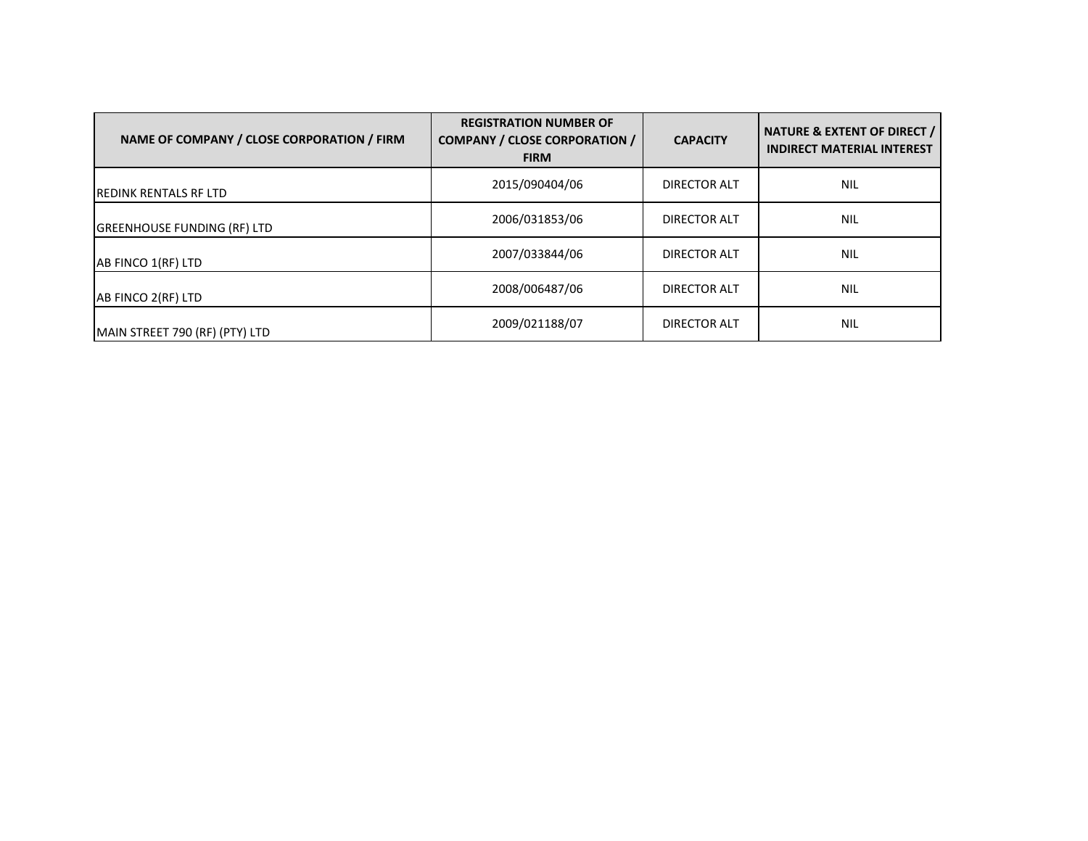| NAME OF COMPANY / CLOSE CORPORATION / FIRM | <b>REGISTRATION NUMBER OF</b><br><b>COMPANY / CLOSE CORPORATION /</b><br><b>FIRM</b> | <b>CAPACITY</b>     | NATURE & EXTENT OF DIRECT /<br><b>INDIRECT MATERIAL INTEREST</b> |
|--------------------------------------------|--------------------------------------------------------------------------------------|---------------------|------------------------------------------------------------------|
| <b>IREDINK RENTALS RF LTD</b>              | 2015/090404/06                                                                       | DIRECTOR ALT        | <b>NIL</b>                                                       |
| <b>GREENHOUSE FUNDING (RF) LTD</b>         | 2006/031853/06                                                                       | <b>DIRECTOR ALT</b> | <b>NIL</b>                                                       |
| AB FINCO 1(RF) LTD                         | 2007/033844/06                                                                       | DIRECTOR ALT        | <b>NIL</b>                                                       |
| AB FINCO 2(RF) LTD                         | 2008/006487/06                                                                       | <b>DIRECTOR ALT</b> | <b>NIL</b>                                                       |
| MAIN STREET 790 (RF) (PTY) LTD             | 2009/021188/07                                                                       | DIRECTOR ALT        | <b>NIL</b>                                                       |